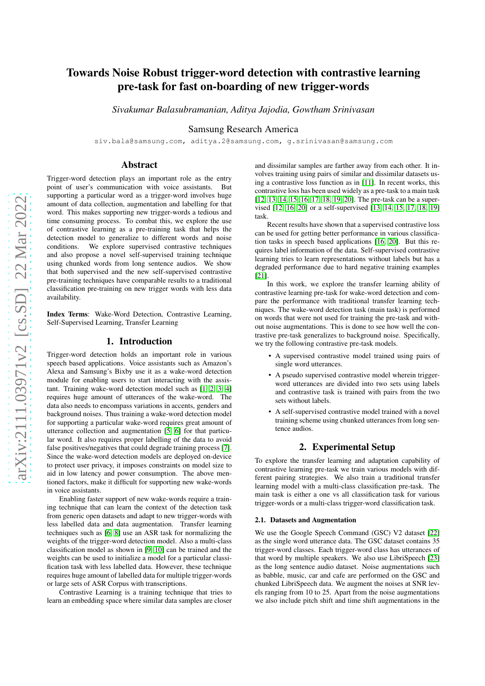# arXiv:2111.03971v2 [cs.SD] 22 Mar 2022 [arXiv:2111.03971v2 \[cs.SD\] 22 Mar 2022](http://arxiv.org/abs/2111.03971v2)

# Towards Noise Robust trigger-word detection with contrastive learning pre-task for fast on-boarding of new trigger-words

*Sivakumar Balasubramanian, Aditya Jajodia, Gowtham Srinivasan*

Samsung Research America

siv.bala@samsung.com, aditya.2@samsung.com, g.srinivasan@samsung.com

## Abstract

Trigger-word detection plays an important role as the entry point of user's communication with voice assistants. But supporting a particular word as a trigger-word involves huge amount of data collection, augmentation and labelling for that word. This makes supporting new trigger-words a tedious and time consuming process. To combat this, we explore the use of contrastive learning as a pre-training task that helps the detection model to generalize to different words and noise conditions. We explore supervised contrastive techniques and also propose a novel self-supervised training technique using chunked words from long sentence audios. We show that both supervised and the new self-supervised contrastive pre-training techniques have comparable results to a traditional classification pre-training on new trigger words with less data availability.

Index Terms: Wake-Word Detection, Contrastive Learning, Self-Supervised Learning, Transfer Learning

# 1. Introduction

Trigger-word detection holds an important role in various speech based applications. Voice assistants such as Amazon's Alexa and Samsung's Bixby use it as a wake-word detection module for enabling users to start interacting with the assistant. Training wake-word detection model such as [\[1,](#page-3-0) [2,](#page-4-0) [3,](#page-4-1) [4\]](#page-4-2) requires huge amount of utterances of the wake-word. The data also needs to encompass variations in accents, genders and background noises. Thus training a wake-word detection model for supporting a particular wake-word requires great amount of utterance collection and augmentation [\[5,](#page-4-3) [6\]](#page-4-4) for that particular word. It also requires proper labelling of the data to avoid false positives/negatives that could degrade training process [\[7\]](#page-4-5). Since the wake-word detection models are deployed on-device to protect user privacy, it imposes constraints on model size to aid in low latency and power consumption. The above mentioned factors, make it difficult for supporting new wake-words in voice assistants.

Enabling faster support of new wake-words require a training technique that can learn the context of the detection task from generic open datasets and adapt to new trigger-words with less labelled data and data augmentation. Transfer learning techniques such as [\[6,](#page-4-4) [8\]](#page-4-6) use an ASR task for normalizing the weights of the trigger-word detection model. Also a multi-class classification model as shown in [\[9,](#page-4-7) [10\]](#page-4-8) can be trained and the weights can be used to initialize a model for a particular classification task with less labelled data. However, these technique requires huge amount of labelled data for multiple trigger-words or large sets of ASR Corpus with transcriptions.

Contrastive Learning is a training technique that tries to learn an embedding space where similar data samples are closer and dissimilar samples are farther away from each other. It involves training using pairs of similar and dissimilar datasets using a contrastive loss function as in [\[11\]](#page-4-9). In recent works, this contrastive loss has been used widely as a pre-task to a main task [\[12,](#page-4-10) [13,](#page-4-11) [14,](#page-4-12) [15,](#page-4-13) [16,](#page-4-14) [17,](#page-4-15) [18,](#page-4-16) [19,](#page-4-17) [20\]](#page-4-18). The pre-task can be a supervised [\[12,](#page-4-10) [16,](#page-4-14) [20\]](#page-4-18) or a self-supervised [\[13,](#page-4-11) [14,](#page-4-12) [15,](#page-4-13) [17,](#page-4-15) [18,](#page-4-16) [19\]](#page-4-17) task.

Recent results have shown that a supervised contrastive loss can be used for getting better performance in various classification tasks in speech based applications [\[16,](#page-4-14) [20\]](#page-4-18). But this requires label information of the data. Self-supervised contrastive learning tries to learn representations without labels but has a degraded performance due to hard negative training examples [\[21\]](#page-4-19).

In this work, we explore the transfer learning ability of contrastive learning pre-task for wake-word detection and compare the performance with traditional transfer learning techniques. The wake-word detection task (main task) is performed on words that were not used for training the pre-task and without noise augmentations. This is done to see how well the contrastive pre-task generalizes to background noise. Specifically, we try the following contrastive pre-task models.

- A supervised contrastive model trained using pairs of single word utterances.
- A pseudo supervised contrastive model wherein triggerword utterances are divided into two sets using labels and contrastive task is trained with pairs from the two sets without labels.
- A self-supervised contrastive model trained with a novel training scheme using chunked utterances from long sentence audios.

# 2. Experimental Setup

To explore the transfer learning and adaptation capability of contrastive learning pre-task we train various models with different pairing strategies. We also train a traditional transfer learning model with a multi-class classification pre-task. The main task is either a one vs all classification task for various trigger-words or a multi-class trigger-word classification task.

### 2.1. Datasets and Augmentation

We use the Google Speech Command (GSC) V2 dataset [\[22\]](#page-4-20) as the single word utterance data. The GSC dataset contains 35 trigger-word classes. Each trigger-word class has utterances of that word by multiple speakers. We also use LibriSpeech [\[23\]](#page-4-21) as the long sentence audio dataset. Noise augmentations such as babble, music, car and cafe are performed on the GSC and chunked LibriSpeech data. We augment the noises at SNR levels ranging from 10 to 25. Apart from the noise augmentations we also include pitch shift and time shift augmentations in the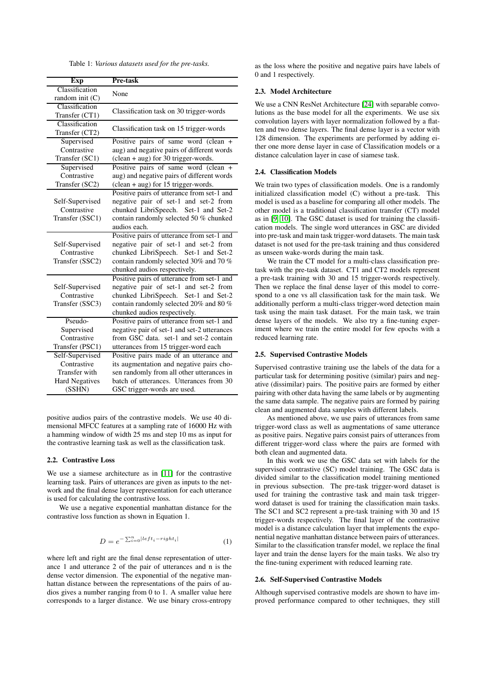Table 1: *Various datasets used for the pre-tasks.*

| Exp                                 | Pre-task                                               |  |
|-------------------------------------|--------------------------------------------------------|--|
| Classification<br>random init $(C)$ | None                                                   |  |
| Classification<br>Transfer (CT1)    | Classification task on 30 trigger-words                |  |
| Classification<br>Transfer (CT2)    | Classification task on 15 trigger-words                |  |
| Supervised                          | Positive pairs of same word (clean +                   |  |
| Contrastive                         | aug) and negative pairs of different words             |  |
| Transfer (SC1)                      | (clean + aug) for 30 trigger-words.                    |  |
| Supervised                          | Positive pairs of same word (clean +                   |  |
| Contrastive                         | aug) and negative pairs of different words             |  |
| Transfer (SC2)                      | $(clean + aug)$ for 15 trigger-words.                  |  |
|                                     | Positive pairs of utterance from set-1 and             |  |
| Self-Supervised<br>Contrastive      | negative pair of set-1 and set-2 from                  |  |
|                                     | chunked LibriSpeech. Set-1 and Set-2                   |  |
| Transfer (SSC1)                     | contain randomly selected 50 % chunked<br>audios each. |  |
|                                     | Positive pairs of utterance from set-1 and             |  |
| Self-Supervised                     | negative pair of set-1 and set-2 from                  |  |
| Contrastive                         | chunked LibriSpeech. Set-1 and Set-2                   |  |
| Transfer (SSC2)                     | contain randomly selected 30% and 70 %                 |  |
|                                     | chunked audios respectively.                           |  |
|                                     | Positive pairs of utterance from set-1 and             |  |
| Self-Supervised                     | negative pair of set-1 and set-2 from                  |  |
| Contrastive                         | chunked LibriSpeech. Set-1 and Set-2                   |  |
| Transfer (SSC3)                     | contain randomly selected 20% and 80 %                 |  |
|                                     | chunked audios respectively.                           |  |
| Pseudo-                             | Positive pairs of utterance from set-1 and             |  |
| Supervised                          | negative pair of set-1 and set-2 utterances            |  |
| Contrastive                         | from GSC data, set-1 and set-2 contain                 |  |
| Transfer (PSC1)                     | utterances from 15 trigger-word each                   |  |
| Self-Supervised                     | Positive pairs made of an utterance and                |  |
| Contrastive                         | its augmentation and negative pairs cho-               |  |
| Transfer with                       | sen randomly from all other utterances in              |  |
| <b>Hard Negatives</b>               | batch of utterances. Utterances from 30                |  |
| (SSHN)                              | GSC trigger-words are used.                            |  |

positive audios pairs of the contrastive models. We use 40 dimensional MFCC features at a sampling rate of 16000 Hz with a hamming window of width 25 ms and step 10 ms as input for the contrastive learning task as well as the classification task.

#### 2.2. Contrastive Loss

We use a siamese architecture as in [\[11\]](#page-4-9) for the contrastive learning task. Pairs of utterances are given as inputs to the network and the final dense layer representation for each utterance is used for calculating the contrastive loss.

We use a negative exponential manhattan distance for the contrastive loss function as shown in Equation 1.

$$
D = e^{-\sum_{i=0}^{n} |left_i - right_i|}
$$
 (1)

where left and right are the final dense representation of utterance 1 and utterance 2 of the pair of utterances and n is the dense vector dimension. The exponential of the negative manhattan distance between the representations of the pairs of audios gives a number ranging from 0 to 1. A smaller value here corresponds to a larger distance. We use binary cross-entropy as the loss where the positive and negative pairs have labels of 0 and 1 respectively.

#### 2.3. Model Architecture

We use a CNN ResNet Architecture [\[24\]](#page-4-22) with separable convolutions as the base model for all the experiments. We use six convolution layers with layer normalization followed by a flatten and two dense layers. The final dense layer is a vector with 128 dimension. The experiments are performed by adding either one more dense layer in case of Classification models or a distance calculation layer in case of siamese task.

#### 2.4. Classification Models

We train two types of classification models. One is a randomly initialized classification model (C) without a pre-task. This model is used as a baseline for comparing all other models. The other model is a traditional classification transfer (CT) model as in [\[9,](#page-4-7) [10\]](#page-4-8). The GSC dataset is used for training the classification models. The single word utterances in GSC are divided into pre-task and main task trigger-word datasets. The main task dataset is not used for the pre-task training and thus considered as unseen wake-words during the main task.

We train the CT model for a multi-class classification pretask with the pre-task dataset. CT1 and CT2 models represent a pre-task training with 30 and 15 trigger-words respectively. Then we replace the final dense layer of this model to correspond to a one vs all classification task for the main task. We additionally perform a multi-class trigger-word detection main task using the main task dataset. For the main task, we train dense layers of the models. We also try a fine-tuning experiment where we train the entire model for few epochs with a reduced learning rate.

## 2.5. Supervised Contrastive Models

Supervised contrastive training use the labels of the data for a particular task for determining positive (similar) pairs and negative (dissimilar) pairs. The positive pairs are formed by either pairing with other data having the same labels or by augmenting the same data sample. The negative pairs are formed by pairing clean and augmented data samples with different labels.

As mentioned above, we use pairs of utterances from same trigger-word class as well as augmentations of same utterance as positive pairs. Negative pairs consist pairs of utterances from different trigger-word class where the pairs are formed with both clean and augmented data.

In this work we use the GSC data set with labels for the supervised contrastive (SC) model training. The GSC data is divided similar to the classification model training mentioned in previous subsection. The pre-task trigger-word dataset is used for training the contrastive task and main task triggerword dataset is used for training the classification main tasks. The SC1 and SC2 represent a pre-task training with 30 and 15 trigger-words respectively. The final layer of the contrastive model is a distance calculation layer that implements the exponential negative manhattan distance between pairs of utterances. Similar to the classification transfer model, we replace the final layer and train the dense layers for the main tasks. We also try the fine-tuning experiment with reduced learning rate.

#### 2.6. Self-Supervised Contrastive Models

Although supervised contrastive models are shown to have improved performance compared to other techniques, they still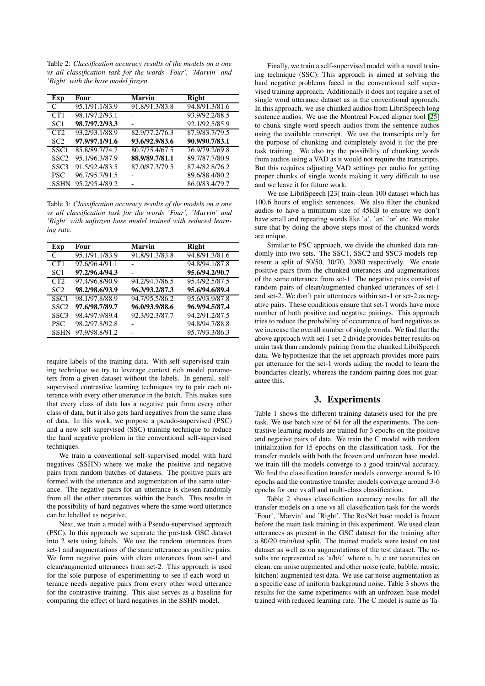Table 2: *Classification accuracy results of the models on a one vs all classification task for the words 'Four', 'Marvin' and 'Right' with the base model frozen.*

| Exp              | Four           | <b>Marvin</b>  | <b>Right</b>   |
|------------------|----------------|----------------|----------------|
| $\mathcal{C}$    | 95.1/91.1/83.9 | 91.8/91.3/83.8 | 94.8/91.3/81.6 |
| CT1              | 98.1/97.2/93.1 |                | 93.9/92.2/88.5 |
| SC <sub>1</sub>  | 98.7/97.2/93.3 |                | 92.1/92.5/85.9 |
| CT2              | 93.2/93.1/88.9 | 82.9/77.2/76.3 | 87.9/83.7/79.5 |
| SC <sub>2</sub>  | 97.9/97.1/91.6 | 93.6/92.9/83.6 | 90.9/90.7/83.1 |
| SSC <sub>1</sub> | 85.8/89.7/74.7 | 80.7/75.4/67.5 | 76.9/79.2/69.8 |
| SSC <sub>2</sub> | 95.1/96.3/87.9 | 88.9/89.7/81.1 | 89.7/87.7/80.9 |
| SSC <sub>3</sub> | 91.5/92.4/83.5 | 87.0/87.3/79.5 | 87.4/82.8/76.2 |
| <b>PSC</b>       | 96.7/95.7/91.5 |                | 89.6/88.4/80.2 |
| <b>SSHN</b>      | 95.2/95.4/89.2 |                | 86.0/83.4/79.7 |

Table 3: *Classification accuracy results of the models on a one vs all classification task for the words 'Four', 'Marvin' and 'Right' with unfrozen base model trained with reduced learning rate.*

| Exp              | Four           | Marvin         | Right          |
|------------------|----------------|----------------|----------------|
| €                | 95.1/91.1/83.9 | 91.8/91.3/83.8 | 94.8/91.3/81.6 |
| CT1              | 97.6/96.4/91.1 |                | 94.8/94.1/87.8 |
| SC <sub>1</sub>  | 97.2/96.4/94.3 |                | 95.6/94.2/90.7 |
| CT2              | 97.4/96.8/90.9 | 94.2/94.7/86.5 | 95.4/92.5/87.5 |
| SC <sub>2</sub>  | 98.2/98.6/93.9 | 96.3/93.2/87.3 | 95.6/94.6/89.4 |
| SSC <sub>1</sub> | 98.1/97.8/88.9 | 94.7/95.5/86.2 | 95.6/93.9/87.8 |
| SSC <sub>2</sub> | 97.6/98.7/89.7 | 96.0/93.9/88.6 | 96.9/94.5/87.4 |
| SSC <sub>3</sub> | 98.4/97.9/89.4 | 92.3/92.3/87.7 | 94.2/91.2/87.5 |
| <b>PSC</b>       | 98.2/97.8/92.8 |                | 94.8/94.7/88.8 |
| <b>SSHN</b>      | 97.9/98.8/91.2 |                | 95.7/93.3/86.3 |

require labels of the training data. With self-supervised training technique we try to leverage context rich model parameters from a given dataset without the labels. In general, selfsupervised contrastive learning techniques try to pair each utterance with every other utterance in the batch. This makes sure that every class of data has a negative pair from every other class of data, but it also gets hard negatives from the same class of data. In this work, we propose a pseudo-supervised (PSC) and a new self-supervised (SSC) training technique to reduce the hard negative problem in the conventional self-supervised techniques.

We train a conventional self-supervised model with hard negatives (SSHN) where we make the positive and negative pairs from random batches of datasets. The positive pairs are formed with the utterance and augmentation of the same utterance. The negative pairs for an utterance is chosen randomly from all the other utterances within the batch. This results in the possibility of hard negatives where the same word utterance can be labelled as negative.

Next, we train a model with a Pseudo-supervised approach (PSC). In this approach we separate the pre-task GSC dataset into 2 sets using labels. We use the random utterances from set-1 and augmentations of the same utterance as positive pairs. We form negative pairs with clean utterances from set-1 and clean/augmented utterances from set-2. This approach is used for the sole purpose of experimenting to see if each word utterance needs negative pairs from every other word utterance for the contrastive training. This also serves as a baseline for comparing the effect of hard negatives in the SSHN model.

Finally, we train a self-supervised model with a novel training technique (SSC). This approach is aimed at solving the hard negative problems faced in the conventional self supervised training approach. Additionally it does not require a set of single word utterance dataset as in the conventional approach. In this approach, we use chunked audios from LibriSpeech long sentence audios. We use the Montreal Forced aligner tool [\[25\]](#page-4-23) to chunk single word speech audios from the sentence audios using the available transcript. We use the transcripts only for the purpose of chunking and completely avoid it for the pretask training. We also try the possibility of chunking words from audios using a VAD as it would not require the transcripts. But this requires adjusting VAD settings per audio for getting proper chunks of single words making it very difficult to use and we leave it for future work.

We use LibriSpeech [23] train-clean-100 dataset which has 100.6 hours of english sentences. We also filter the chunked audios to have a minimum size of 45KB to ensure we don't have small and repeating words like 'a', 'an' 'or' etc. We make sure that by doing the above steps most of the chunked words are unique.

Similar to PSC approach, we divide the chunked data randomly into two sets. The SSC1, SSC2 and SSC3 models represent a split of 50/50, 30/70, 20/80 respectively. We create positive pairs from the chunked utterances and augmentations of the same utterance from set-1. The negative pairs consist of random pairs of clean/augmented chunked utterances of set-1 and set-2. We don't pair utterances within set-1 or set-2 as negative pairs. These conditions ensure that set-1 words have more number of both positive and negative pairings. This approach tries to reduce the probability of occurrence of hard negatives as we increase the overall number of single words. We find that the above approach with set-1 set-2 divide provides better results on main task than randomly pairing from the chunked LibriSpeech data. We hypothesize that the set approach provides more pairs per utterance for the set-1 words aiding the model to learn the boundaries clearly, whereas the random pairing does not guarantee this.

# 3. Experiments

Table 1 shows the different training datasets used for the pretask. We use batch size of 64 for all the experiments. The contrastive learning models are trained for 3 epochs on the positive and negative pairs of data. We train the C model with random initialization for 15 epochs on the classification task. For the transfer models with both the frozen and unfrozen base model, we train till the models converge to a good train/val accuracy. We find the classification transfer models converge around 8-10 epochs and the contrastive transfer models converge around 3-6 epochs for one vs all and multi-class classification.

Table 2 shows classification accuracy results for all the transfer models on a one vs all classification task for the words 'Four', 'Marvin' and 'Right'. The ResNet base model is frozen before the main task training in this experiment. We used clean utterances as present in the GSC dataset for the training after a 80/20 train/test split. The trained models were tested on test dataset as well as on augmentations of the test dataset. The results are represented as 'a/b/c' where a, b, c are accuracies on clean, car noise augmented and other noise (cafe, babble, music, kitchen) augmented test data. We use car noise augmentation as a specific case of uniform background noise. Table 3 shows the results for the same experiments with an unfrozen base model trained with reduced learning rate. The C model is same as Ta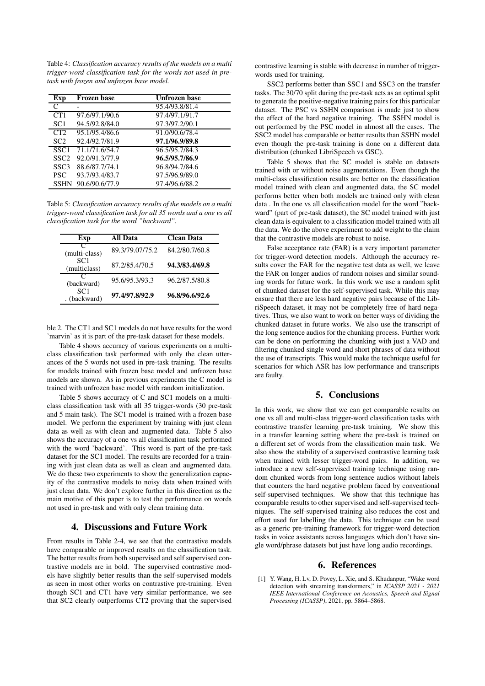Table 4: *Classification accuracy results of the models on a multi trigger-word classification task for the words not used in pretask with frozen and unfrozen base model.*

| Exp              | Frozen base    | Unfrozen base  |
|------------------|----------------|----------------|
| C                |                | 95.4/93.8/81.4 |
| CT1              | 97.6/97.1/90.6 | 97.4/97.1/91.7 |
| SC <sub>1</sub>  | 94.5/92.8/84.0 | 97.3/97.2/90.1 |
| CT2              | 95.1/95.4/86.6 | 91.0/90.6/78.4 |
| SC <sub>2</sub>  | 92.4/92.7/81.9 | 97.1/96.9/89.8 |
| SSC <sub>1</sub> | 71.1/71.6/54.7 | 96.5/95.7/84.3 |
| SSC <sub>2</sub> | 92.0/91.3/77.9 | 96.5/95.7/86.9 |
| SSC <sub>3</sub> | 88.6/87.7/74.1 | 96.8/94.7/84.6 |
| <b>PSC</b>       | 93.7/93.4/83.7 | 97.5/96.9/89.0 |
| <b>SSHN</b>      | 90.6/90.6/77.9 | 97.4/96.6/88.2 |

Table 5: *Classification accuracy results of the models on a multi trigger-word classification task for all 35 words and a one vs all classification task for the word "backward".*

| Exp                             | All Data        | Clean Data     |
|---------------------------------|-----------------|----------------|
| (multi-class)                   | 89.3/79.07/75.2 | 84.2/80.7/60.8 |
| SC <sub>1</sub><br>(multiclass) | 87.2/85.4/70.5  | 94.3/83.4/69.8 |
| (backward)                      | 95.6/95.3/93.3  | 96.2/87.5/80.8 |
| SC <sub>1</sub><br>. (backward) | 97.4/97.8/92.9  | 96.8/96.6/92.6 |

ble 2. The CT1 and SC1 models do not have results for the word 'marvin' as it is part of the pre-task dataset for these models.

Table 4 shows accuracy of various experiments on a multiclass classification task performed with only the clean utterances of the 5 words not used in pre-task training. The results for models trained with frozen base model and unfrozen base models are shown. As in previous experiments the C model is trained with unfrozen base model with random initialization.

Table 5 shows accuracy of C and SC1 models on a multiclass classification task with all 35 trigger-words (30 pre-task and 5 main task). The SC1 model is trained with a frozen base model. We perform the experiment by training with just clean data as well as with clean and augmented data. Table 5 also shows the accuracy of a one vs all classification task performed with the word 'backward'. This word is part of the pre-task dataset for the SC1 model. The results are recorded for a training with just clean data as well as clean and augmented data. We do these two experiments to show the generalization capacity of the contrastive models to noisy data when trained with just clean data. We don't explore further in this direction as the main motive of this paper is to test the performance on words not used in pre-task and with only clean training data.

# 4. Discussions and Future Work

From results in Table 2-4, we see that the contrastive models have comparable or improved results on the classification task. The better results from both supervised and self supervised contrastive models are in bold. The supervised contrastive models have slightly better results than the self-supervised models as seen in most other works on contrastive pre-training. Even though SC1 and CT1 have very similar performance, we see that SC2 clearly outperforms CT2 proving that the supervised contrastive learning is stable with decrease in number of triggerwords used for training.

SSC2 performs better than SSC1 and SSC3 on the transfer tasks. The 30/70 split during the pre-task acts as an optimal split to generate the positive-negative training pairs for this particular dataset. The PSC vs SSHN comparison is made just to show the effect of the hard negative training. The SSHN model is out performed by the PSC model in almost all the cases. The SSC2 model has comparable or better results than SSHN model even though the pre-task training is done on a different data distribution (chunked LibriSpeech vs GSC).

Table 5 shows that the SC model is stable on datasets trained with or without noise augmentations. Even though the multi-class classification results are better on the classification model trained with clean and augmented data, the SC model performs better when both models are trained only with clean data . In the one vs all classification model for the word "backward" (part of pre-task dataset), the SC model trained with just clean data is equivalent to a classification model trained with all the data. We do the above experiment to add weight to the claim that the contrastive models are robust to noise.

False acceptance rate (FAR) is a very important parameter for trigger-word detection models. Although the accuracy results cover the FAR for the negative test data as well, we leave the FAR on longer audios of random noises and similar sounding words for future work. In this work we use a random split of chunked dataset for the self-supervised task. While this may ensure that there are less hard negative pairs because of the LibriSpeech dataset, it may not be completely free of hard negatives. Thus, we also want to work on better ways of dividing the chunked dataset in future works. We also use the transcript of the long sentence audios for the chunking process. Further work can be done on performing the chunking with just a VAD and filtering chunked single word and short phrases of data without the use of transcripts. This would make the technique useful for scenarios for which ASR has low performance and transcripts are faulty.

# 5. Conclusions

In this work, we show that we can get comparable results on one vs all and multi-class trigger-word classification tasks with contrastive transfer learning pre-task training. We show this in a transfer learning setting where the pre-task is trained on a different set of words from the classification main task. We also show the stability of a supervised contrastive learning task when trained with lesser trigger-word pairs. In addition, we introduce a new self-supervised training technique using random chunked words from long sentence audios without labels that counters the hard negative problem faced by conventional self-supervised techniques. We show that this technique has comparable results to other supervised and self-supervised techniques. The self-supervised training also reduces the cost and effort used for labelling the data. This technique can be used as a generic pre-training framework for trigger-word detection tasks in voice assistants across languages which don't have single word/phrase datasets but just have long audio recordings.

# 6. References

<span id="page-3-0"></span>[1] Y. Wang, H. Lv, D. Povey, L. Xie, and S. Khudanpur, "Wake word detection with streaming transformers," in *ICASSP 2021 - 2021 IEEE International Conference on Acoustics, Speech and Signal Processing (ICASSP)*, 2021, pp. 5864–5868.